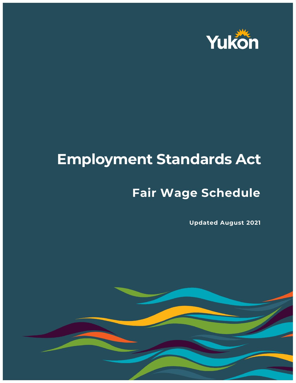

## **Employment Standards Act**

## **Fair Wage Schedule**

**Updated August 2021**

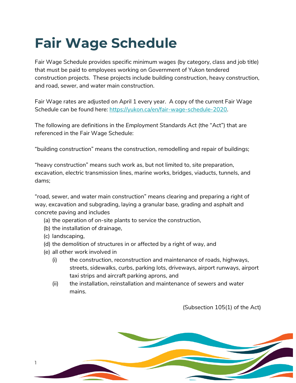## **Fair Wage Schedule**

Fair Wage Schedule provides specific minimum wages (by category, class and job title) that must be paid to employees working on Government of Yukon tendered construction projects. These projects include building construction, heavy construction, and road, sewer, and water main construction.

Fair Wage rates are adjusted on April 1 every year. A copy of the current Fair Wage Schedule can be found here: [https://yukon.ca/en/fair-wage-schedule-2020.](https://yukon.ca/en/fair-wage-schedule-2020)

The following are definitions in the *Employment Standards Act* (the "Act") that are referenced in the Fair Wage Schedule:

"building construction" means the construction, remodelling and repair of buildings;

"heavy construction" means such work as, but not limited to, site preparation, excavation, electric transmission lines, marine works, bridges, viaducts, tunnels, and dams;

"road, sewer, and water main construction" means clearing and preparing a right of way, excavation and subgrading, laying a granular base, grading and asphalt and concrete paving and includes

- (a) the operation of on-site plants to service the construction,
- (b) the installation of drainage,
- (c) landscaping,
- (d) the demolition of structures in or affected by a right of way, and
- (e) all other work involved in
	- (i) the construction, reconstruction and maintenance of roads, highways, streets, sidewalks, curbs, parking lots, driveways, airport runways, airport taxi strips and aircraft parking aprons, and
	- (ii) the installation, reinstallation and maintenance of sewers and water mains.

(Subsection 105(1) of the Act)

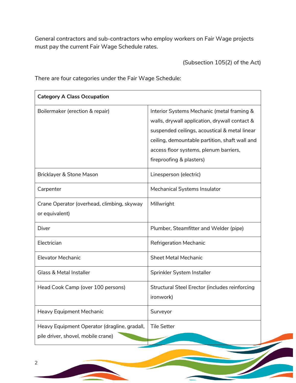General contractors and sub-contractors who employ workers on Fair Wage projects must pay the current Fair Wage Schedule rates.

(Subsection 105(2) of the Act)

There are four categories under the Fair Wage Schedule:

| <b>Category A Class Occupation</b>                                                 |                                                                                                                                                                                                                                                                      |
|------------------------------------------------------------------------------------|----------------------------------------------------------------------------------------------------------------------------------------------------------------------------------------------------------------------------------------------------------------------|
| Boilermaker (erection & repair)                                                    | Interior Systems Mechanic (metal framing &<br>walls, drywall application, drywall contact &<br>suspended ceilings, acoustical & metal linear<br>ceiling, demountable partition, shaft wall and<br>access floor systems, plenum barriers,<br>fireproofing & plasters) |
| Bricklayer & Stone Mason                                                           | Linesperson (electric)                                                                                                                                                                                                                                               |
| Carpenter                                                                          | Mechanical Systems Insulator                                                                                                                                                                                                                                         |
| Crane Operator (overhead, climbing, skyway<br>or equivalent)                       | Millwright                                                                                                                                                                                                                                                           |
| Diver                                                                              | Plumber, Steamfitter and Welder (pipe)                                                                                                                                                                                                                               |
| Electrician                                                                        | <b>Refrigeration Mechanic</b>                                                                                                                                                                                                                                        |
| <b>Elevator Mechanic</b>                                                           | <b>Sheet Metal Mechanic</b>                                                                                                                                                                                                                                          |
| <b>Glass &amp; Metal Installer</b>                                                 | Sprinkler System Installer                                                                                                                                                                                                                                           |
| Head Cook Camp (over 100 persons)                                                  | Structural Steel Erector (includes reinforcing<br>ironwork)                                                                                                                                                                                                          |
| Heavy Equipment Mechanic                                                           | Surveyor                                                                                                                                                                                                                                                             |
| Heavy Equipment Operator (dragline, gradall,<br>pile driver, shovel, mobile crane) | <b>Tile Setter</b>                                                                                                                                                                                                                                                   |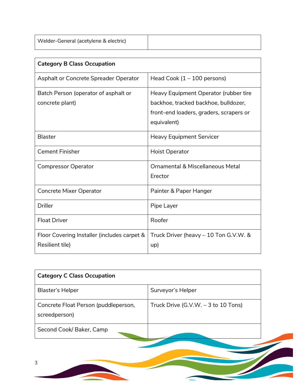| Welder-General (acetylene & electric) |  |
|---------------------------------------|--|
|                                       |  |

| <b>Category B Class Occupation</b>                             |                                                                                                                                         |  |
|----------------------------------------------------------------|-----------------------------------------------------------------------------------------------------------------------------------------|--|
| Asphalt or Concrete Spreader Operator                          | Head Cook $(1 - 100$ persons)                                                                                                           |  |
| Batch Person (operator of asphalt or<br>concrete plant)        | Heavy Equipment Operator (rubber tire<br>backhoe, tracked backhoe, bulldozer,<br>front-end loaders, graders, scrapers or<br>equivalent) |  |
| <b>Blaster</b>                                                 | <b>Heavy Equipment Servicer</b>                                                                                                         |  |
| <b>Cement Finisher</b>                                         | <b>Hoist Operator</b>                                                                                                                   |  |
| <b>Compressor Operator</b>                                     | Ornamental & Miscellaneous Metal<br>Erector                                                                                             |  |
| Concrete Mixer Operator                                        | Painter & Paper Hanger                                                                                                                  |  |
| <b>Driller</b>                                                 | Pipe Layer                                                                                                                              |  |
| <b>Float Driver</b>                                            | Roofer                                                                                                                                  |  |
| Floor Covering Installer (includes carpet &<br>Resilient tile) | Truck Driver (heavy - 10 Ton G.V.W. &<br>up)                                                                                            |  |

| <b>Category C Class Occupation</b>                    |                                       |
|-------------------------------------------------------|---------------------------------------|
| Blaster's Helper                                      | Surveyor's Helper                     |
| Concrete Float Person (puddleperson,<br>screedperson) | Truck Drive $(G.V.W. - 3 to 10 Tons)$ |
| Second Cook/Baker, Camp                               |                                       |